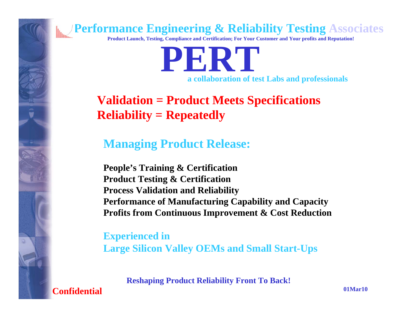

**Product Launch, Testing, Compliance and Certification; For Your Customer and Your profits and Reputation!**

**PERTa collaboration of test Labs and professionals** 

### **Validation = Product Meets Specifications Reliability = Repeatedly**

### **Managing Product Release:**

**People's Training & Certification Product Testing & Certification Process Validation and Reliability Performance of Manufacturing Capability and Capacity Profits from Continuous Improvement & Cost Reduction**

**Experienced in Large Silicon Valley OEMs and Small Start-Ups**

**Reshaping Product Reliability Front To Back!**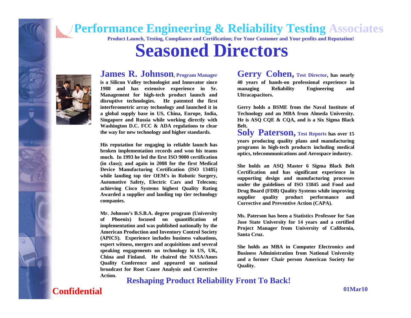

### **Seasoned Directors**



**James R. Johnson, Program Manager is a Silicon Valley technologist and Innovator since 1988 and has extensive experience in Sr. Management for high-tech product launch and** 

**disruptive technologies. He patented the first interferometric array technology and launched it in a global supply base in US, China, Europe, India, Singapore and Russia while working directly with Washington D.C. FCC & ADA regulations to clear the way for new technology and higher standards.**

**His reputation for engaging in reliable launch has broken implementation records and won his teams much. In 1993 he led the first ISO 9000 certification (in class); and again in 2008 for the first Medical Device Manufacturing Certification (ISO 13485) while landing top tier OEM's in Robotic Surgery, Automotive Safety, Electric Cars and Telecom; achieving Cisco Systems highest Quality Rating Awarded a supplier and landing top tier technology companies.**

**Mr. Johnson's B.S.B.A. degree program (University of Phoenix) focused on quantification of implementation and was published nationally by the American Production and Inventory Control Society (APICS). Experience includes business valuations, expert witness, mergers and acquisitions and several speaking engagements on technology in US, UK, China and Finland. He chaired the NASA/Ames Quality Conference and appeared on national broadcast for Root Cause Analysis and Corrective Action.**

**Gerry Cohen, Test Director, has nearly 40 years of hands-on professional experience in managing Reliability Engineering and Ultracapacitors.**

**Gerry holds a BSME from the Naval Institute of Technology and an MBA from Almeda University. He is ASQ CQE & CQA, and is a Six Sigma Black Belt.**

**Soly Paterson, Test Reports has over 15 years producing quality plans and manufacturing programs in high-tech products including medical optics, telecommunications and Aerospace industry.** 

**She holds an ASQ Master 6 Sigma Black Belt Certification and has significant experience in supporting design and manufacturing processes under the guidelines of ISO 13845 and Food and Drug Board (FDB) Quality Systems while improving supplier quality product performance and Corrective and Preventive Action (CAPA).**

**Ms. Paterson has been a Statistics Professor for San Jose State University for 14 years and a certified Project Manager from University of California, Santa Cruz.**

**She holds an MBA in Computer Electronics and Business Administration from National University and a former Chair person American Society for Quality.**

**Reshaping Product Reliability Front To Back!**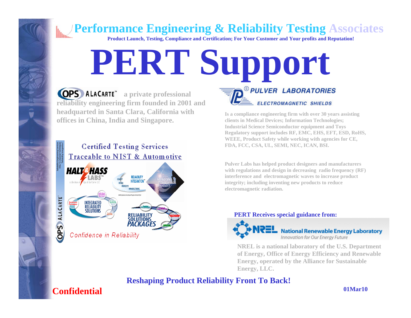**Product Launch, Testing, Compliance and Certification; For Your Customer and Your profits and Reputation!**

# **PERT Support**

*ALACARTE* a private professional **reliability engineering firm founded in 2001 and headquarted in Santa Clara, California with offices in China, India and Singapore.** 



**Is a compliance engineering firm with over 30 years assisting clients in Medical Devices; Information Technologies; Industrial Science Semiconductor equipment and Toys Regulatory support includes RF, EMC, EHS, EFT, ESD, RoHS, WEEE, Product Safety while working with agencies for CE, FDA, FCC, CSA, UL, SEMI, NEC, ICAN, BSI.**

ELECTROMAGNETIC SHIELDS

*® PULVER LABORATORIES* 

**Pulver Labs has helped product designers and manufacturers with regulations and design in decreasing radio frequency (RF) interference and electromagnetic waves to increase product integrity; including inventing new products to reduce electromagnetic radiation.**

#### **PERT Receives special guidance from:**



**NREL is a national laboratory of the U.S. Department of Energy, Office of Energy Efficiency and Renewable Energy, operated by the Alliance for Sustainable Energy, LLC.**

### **Reshaping Product Reliability Front To Back!**

### **Confidential**

û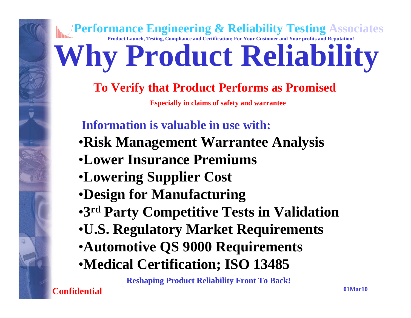## **Performance Engineering & Reliability Testing Associates Product Launch, Testing, Compliance and Certification; For Your Customer and Your profits and Reputation! Why Product Reliability To Verify that Product Performs as Promised** •**Risk Management Warrantee Analysis** •**Lower Insurance Premiums**•**Lowering Supplier Cost** •**Design for Manufacturing** •**3rd Party Competitive Tests in Validation** •**U.S. Regulatory Market Requirements** •**Automotive QS 9000 Requirements** •**Medical Certification; ISO 13485 Information is valuable in use with:Especially in claims of safety and warrantee**

**Reshaping Product Reliability Front To Back!**

**Confidential**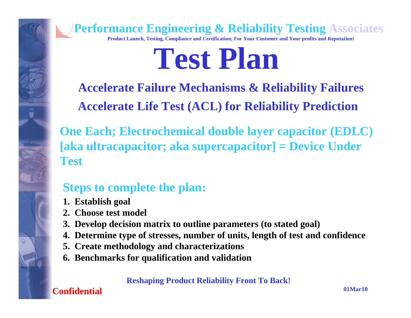

# **Test Plan**

**Accelerate Life Test (ACL) for Reliability Prediction Accelerate Failure Mechanisms & Reliability Failures**

**One Each; Electrochemical double layer capacitor (EDLC) [aka ultracapacitor; aka supercapacitor] = Device Under Test**

### **Steps to complete the plan:**

- **1. Establish goal**
- **2. Choose test model**
- **3. Develop decision matrix to outline parameters (to stated goal)**
- **4. Determine type of stresses, number of units, length of test and confidence**
- **5. Create methodology and characterizations**
- **6. Benchmarks for qualification and validation**

**Reshaping Product Reliability Front To Back!**

**Confidential**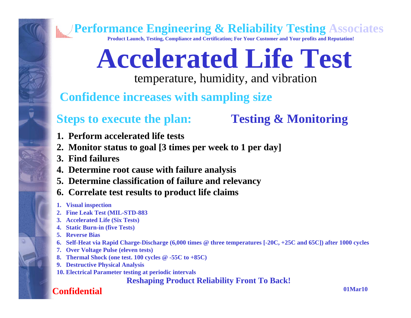**Confidential**

**Performance Engineering & Reliability Testing Associates**

**Product Launch, Testing, Compliance and Certification; For Your Customer and Your profits and Reputation!**

# **Accelerated Life Test**

temperature, humidity, and vibration

**Confidence increases with sampling size**

### **Steps to execute the plan:**

**Testing & Monitoring**

- **1. Perform accelerated life tests**
- **2. Monitor status to goal [3 times per week to 1 per day]**
- **3. Find failures**
- **4. Determine root cause with failure analysis**
- **5. Determine classification of failure and relevancy**
- **6. Correlate test results to product life claims**
- **1. Visual inspection**
- **2. Fine Leak Test (MIL-STD-883**
- **3. Accelerated Life (Six Tests)**
- **4. Static Burn-in (five Tests)**
- **5. Reverse Bias**
- **6. Self-Heat via Rapid Charge-Discharge (6,000 times @ three temperatures [-20C, +25C and 65C]) after 1000 cycles**
- **7. Over Voltage Pulse (eleven tests)**
- **8. Thermal Shock (one test. 100 cycles @ -55C to +85C)**
- **9. Destructive Physical Analysis**
- **10. Electrical Parameter testing at periodic intervals**

**Reshaping Product Reliability Front To Back!**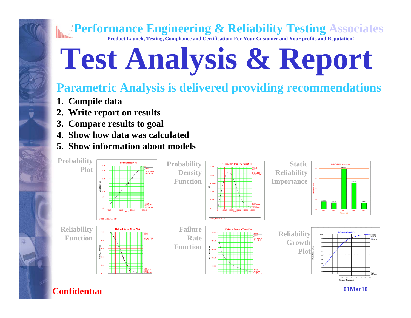**Product Launch, Testing, Compliance and Certification; For Your Customer and Your profits and Reputation!**

# **Test Analysis & Report**

### **Parametric Analysis is delivered providing recommendations**

- **1. Compile data**
- **2. Write report on results**
- **3. Compare results to goal**
- **4. Show how data was calculated**
- **5. Show information about models**

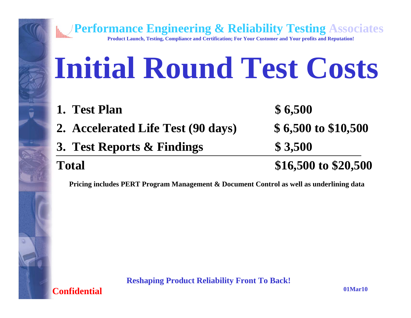# **Initial Round Test Costs**

**Performance Engineering & Reliability Testing Associates Product Launch, Testing, Compliance and Certification; For Your Customer and Your profits and Reputation!**

- **1. Test Plan \$ 6,500**
- **2. Accelerated Life Test (90 days) \$ 6,500 to \$10,500**
- **3. Test Reports & Findings \$ 3,500**

### **Total \$16,500 to \$20,500**

**Pricing includes PERT Program Management & Document Control as well as underlining data**

**Reshaping Product Reliability Front To Back!**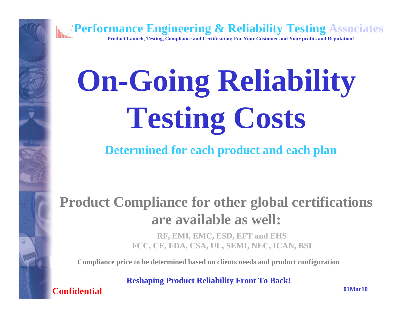

# **On-Going Reliability Testing Costs**

**Determined for each product and each plan**

## **Product Compliance for other global certifications are available as well:**

**RF, EMI, EMC, ESD, EFT and EHS FCC, CE, FDA, CSA, UL, SEMI, NEC, ICAN, BSI**

**Compliance price to be determined based on clients needs and product configuration**

**Reshaping Product Reliability Front To Back!**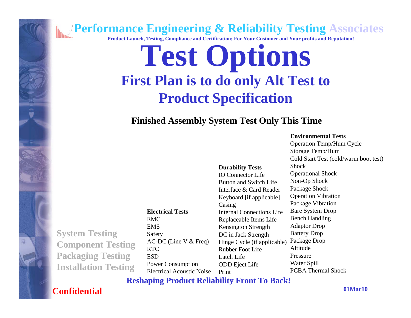**Product Launch, Testing, Compliance and Certification; For Your Customer and Your profits and Reputation!**

## **Test Options First Plan is to do only Alt Test to Product Specification**

### **Finished Assembly System Test Only This Time**

#### **Environmental Tests**

Operation Temp/Hum Cycle Storage Temp/Hum Cold Start Test (cold/warm boot test) **Shock** Operational Shock Non-Op Shock Package Shock Operation Vibration Package Vibration Bare System Drop Bench Handling Adaptor Drop Battery Drop Package Drop Altitude PressureWater Spill PCBA Thermal Shock**Durability Tests** IO Connector LifeButton and Switch LifeInterface & Card ReaderKeyboard [if applicable] Casing Internal Connections LifeReplaceable Items Life Kensington Strength DC in Jack Strength Hinge Cycle (if applicable) Rubber Foot LifeLatch LifeODD Eject Life PrintAC-DC (Line V & Freq) Electrical Acoustic Noise

**Reshaping Product Reliability Front To Back!**

### **Confidential**

**01Mar10**

**System Testing Component Testing Packaging Testing Installation Testing**

**Electrical Tests**EMCEMSSafety RTC**ESD** Power Consumption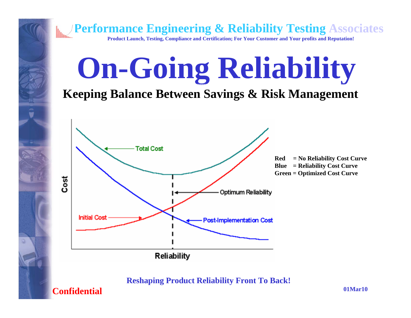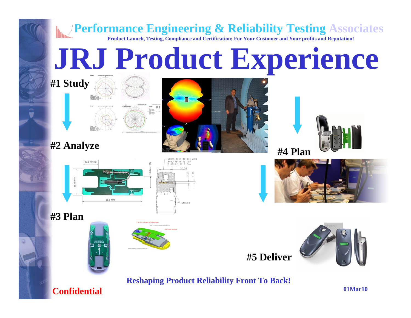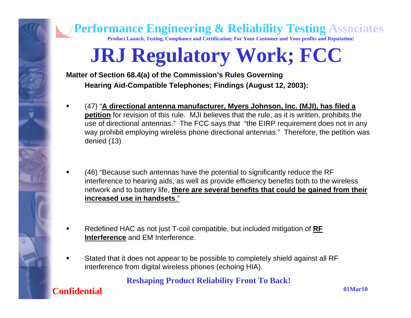

**Product Launch, Testing, Compliance and Certification; For Your Customer and Your profits and Reputation!**

## **JRJ Regulatory Work; FCC**

**Matter of Section 68.4(a) of the Commission's Rules Governing Hearing Aid-Compatible Telephones; Findings (August 12, 2003):**

- (47) "**A directional antenna manufacturer, Myers Johnson, Inc. (MJI), has filed a petition** for revision of this rule. MJI believes that the rule, as it is written, prohibits the use of directional antennas." The FCC says that "the EIRP requirement does not in any way prohibit employing wireless phone directional antennas." Therefore, the petition was denied (13)
- (46) "Because such antennas have the potential to significantly reduce the RF interference to hearing aids, as well as provide efficiency benefits both to the wireless network and to battery life, **there are several benefits that could be gained from their increased use in handsets**."
- Redefined HAC as not just T-coil compatible, but included mitigation of **RF Interference** and EM Interference.
- Stated that it does not appear to be possible to completely shield against all RF interference from digital wireless phones (echoing HIA).

**Reshaping Product Reliability Front To Back!**

**Confidential**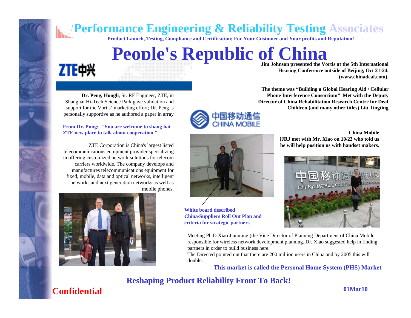**Product Launch, Testing, Compliance and Certification; For Your Customer and Your profits and Reputation!**

## **People's Republic of China**

## ZTE中兴

**Dr. Peng, Hongli**, Sr. RF Engineer, ZTE, in Shanghai Hi-Tech Science Park gave validation and support for the Vortis' marketing effort; Dr. Peng is personally supportive as he authored a paper in array

#### **From Dr. Pung: "You are welcome to shang hai ZTE new place to talk about cooperation."**

ZTE Corporation is China's largest listed telecommunications equipment provider specializing in offering customized network solutions for telecom carriers worldwide. The company develops and manufactures telecommunications equipment for fixed, mobile, data and optical networks, intelligent networks and next generation networks as well as mobile phones.



**Jim Johnson presented the Vortis at the 5th International Hearing Conference outside of Beijing, Oct 21-24. (www.chinadeaf.com).**

**The theme was "Building a Global Hearing Aid / Cellular Phone Interference Consortium" Met with the Deputy Director of China Rehabilitation Research Centre for Deaf Children (and many other titles) Liu Tingting**



**China Mobile [JRJ met with Mr. Xiao on 10/23 who told us he will help position us with handset makers.**



**White board described China/Suppliers Roll Out Plan and criteria for strategic partners**

Meeting Ph.D Xiao Jianming (the Vice Director of Planning Department of China Mobile responsible for wireless network development planning. Dr. Xiao suggested help in finding partners in order to build business here.

The Directed pointed out that there are 200 million users in China and by 2005 this will double.

**This market is called the Personal Home System (PHS) Market**

#### **Reshaping Product Reliability Front To Back!**

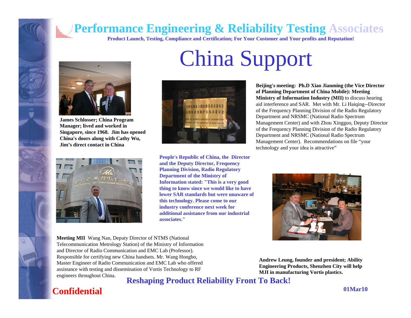**Product Launch, Testing, Compliance and Certification; For Your Customer and Your profits and Reputation!**

China Support



û

**James Schlosser; China Program Manager; lived and worked in Singapore, since 1968. Jim has opened China's doors along with Cathy Wu, Jim's direct contact in China**





**People's Republic of China, the Director and the Deputy Director, Frequency Planning Division, Radio Regulatory Department of the Ministry of Information stated: "This is a very good thing to know since we would like to have lower SAR standards but were unaware of this technology. Please come to our industry conference next week for additional assistance from our industrial associates."**

**Beijing's meeting: Ph.D Xiao Jianming (the Vice Director of Planning Department of China Mobile): Meeting Ministry of Information Industry (MII)** to discuss hearing aid interference and SAR. Met with Mr. Li Haiqing--Director of the Frequency Planning Division of the Radio Regulatory Department and NRSMC (National Radio Spectrum Management Center) and with Zhou Xingguo, Deputy Director of the Frequency Planning Division of the Radio Regulatory Department and NRSMC (National Radio Spectrum Management Center). Recommendations on file "your technology and your idea is attractive"



**Meeting MII** Wang Nan, Deputy Director of NTMS (National Telecommunication Metrology Station) of the Ministry of Information and Director of Radio Communication and EMC Lab (Professor). Responsible for certifying new China handsets. Mr. Wang Hongbo, Master Engineer of Radio Communication and EMC Lab who offered assistance with testing and dissemination of Vortis Technology to RF engineers throughout China.

**Andrew Leung, founder and president; Ability Engineering Products, Shenzhen City will help MJI in manufacturing Vortis plastics.**

**Reshaping Product Reliability Front To Back!**

### **Confidential**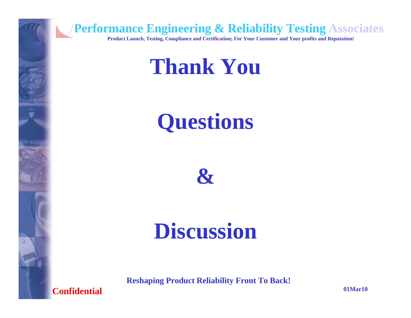

## **Thank You**

# **Questions**



## **Discussion**

**Reshaping Product Reliability Front To Back!**